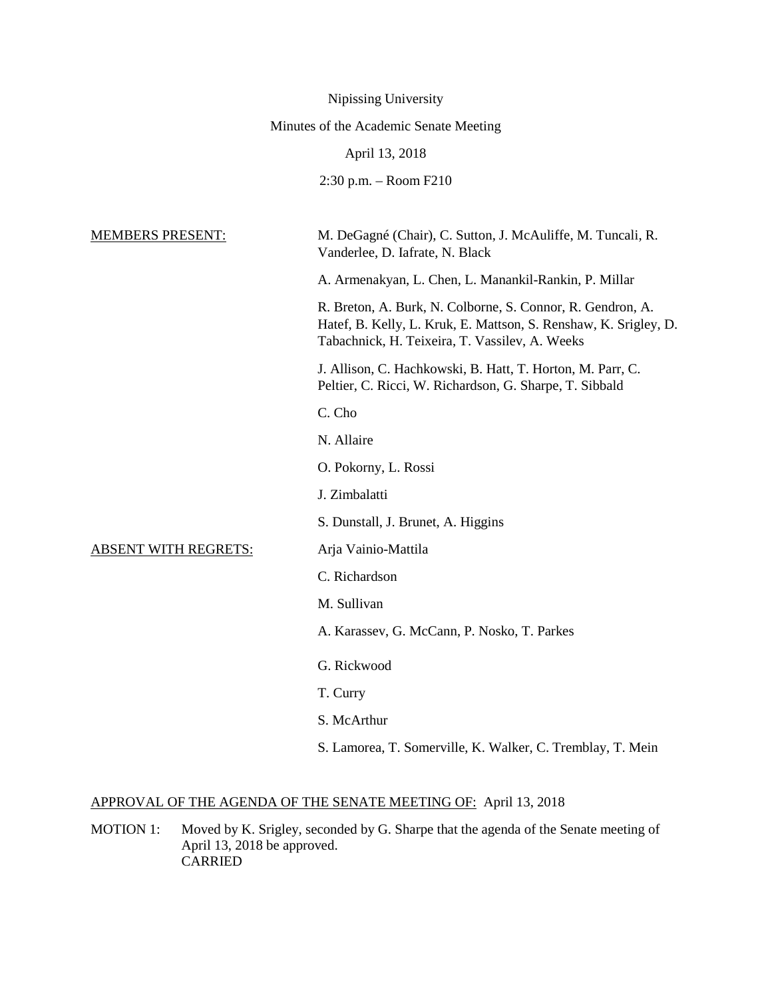|                                        | Nipissing University                                                                                                                                                             |
|----------------------------------------|----------------------------------------------------------------------------------------------------------------------------------------------------------------------------------|
| Minutes of the Academic Senate Meeting |                                                                                                                                                                                  |
|                                        | April 13, 2018                                                                                                                                                                   |
|                                        | 2:30 p.m. - Room F210                                                                                                                                                            |
| <b>MEMBERS PRESENT:</b>                | M. DeGagné (Chair), C. Sutton, J. McAuliffe, M. Tuncali, R.<br>Vanderlee, D. Iafrate, N. Black                                                                                   |
|                                        | A. Armenakyan, L. Chen, L. Manankil-Rankin, P. Millar                                                                                                                            |
|                                        | R. Breton, A. Burk, N. Colborne, S. Connor, R. Gendron, A.<br>Hatef, B. Kelly, L. Kruk, E. Mattson, S. Renshaw, K. Srigley, D.<br>Tabachnick, H. Teixeira, T. Vassilev, A. Weeks |
|                                        | J. Allison, C. Hachkowski, B. Hatt, T. Horton, M. Parr, C.<br>Peltier, C. Ricci, W. Richardson, G. Sharpe, T. Sibbald                                                            |
|                                        | C. Cho                                                                                                                                                                           |
|                                        | N. Allaire                                                                                                                                                                       |
|                                        | O. Pokorny, L. Rossi                                                                                                                                                             |
|                                        | J. Zimbalatti                                                                                                                                                                    |
|                                        | S. Dunstall, J. Brunet, A. Higgins                                                                                                                                               |
| <b>ABSENT WITH REGRETS:</b>            | Arja Vainio-Mattila                                                                                                                                                              |
|                                        | C. Richardson                                                                                                                                                                    |
|                                        | M. Sullivan                                                                                                                                                                      |
|                                        | A. Karassev, G. McCann, P. Nosko, T. Parkes                                                                                                                                      |
|                                        | G. Rickwood                                                                                                                                                                      |
|                                        | T. Curry                                                                                                                                                                         |
|                                        | S. McArthur                                                                                                                                                                      |
|                                        | S. Lamorea, T. Somerville, K. Walker, C. Tremblay, T. Mein                                                                                                                       |

# APPROVAL OF THE AGENDA OF THE SENATE MEETING OF: April 13, 2018

MOTION 1: Moved by K. Srigley, seconded by G. Sharpe that the agenda of the Senate meeting of April 13, 2018 be approved. CARRIED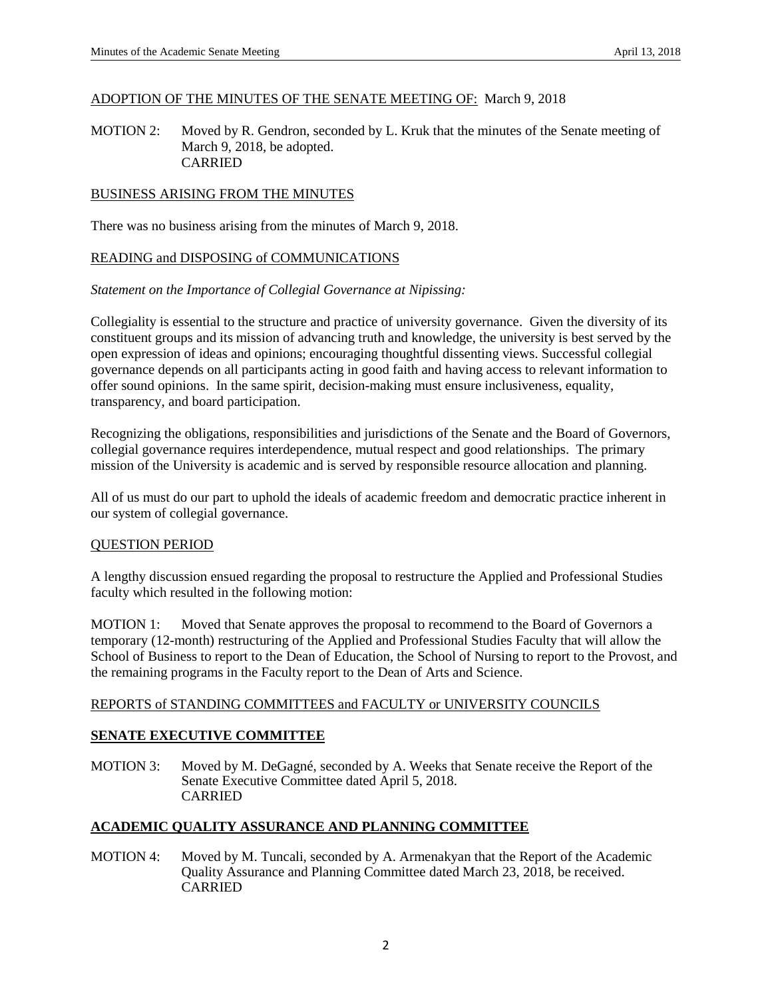## ADOPTION OF THE MINUTES OF THE SENATE MEETING OF: March 9, 2018

MOTION 2: Moved by R. Gendron, seconded by L. Kruk that the minutes of the Senate meeting of March 9, 2018, be adopted. CARRIED

## BUSINESS ARISING FROM THE MINUTES

There was no business arising from the minutes of March 9, 2018.

## READING and DISPOSING of COMMUNICATIONS

## *Statement on the Importance of Collegial Governance at Nipissing:*

Collegiality is essential to the structure and practice of university governance. Given the diversity of its constituent groups and its mission of advancing truth and knowledge, the university is best served by the open expression of ideas and opinions; encouraging thoughtful dissenting views. Successful collegial governance depends on all participants acting in good faith and having access to relevant information to offer sound opinions. In the same spirit, decision-making must ensure inclusiveness, equality, transparency, and board participation.

Recognizing the obligations, responsibilities and jurisdictions of the Senate and the Board of Governors, collegial governance requires interdependence, mutual respect and good relationships. The primary mission of the University is academic and is served by responsible resource allocation and planning.

All of us must do our part to uphold the ideals of academic freedom and democratic practice inherent in our system of collegial governance.

# QUESTION PERIOD

A lengthy discussion ensued regarding the proposal to restructure the Applied and Professional Studies faculty which resulted in the following motion:

MOTION 1: Moved that Senate approves the proposal to recommend to the Board of Governors a temporary (12-month) restructuring of the Applied and Professional Studies Faculty that will allow the School of Business to report to the Dean of Education, the School of Nursing to report to the Provost, and the remaining programs in the Faculty report to the Dean of Arts and Science.

# REPORTS of STANDING COMMITTEES and FACULTY or UNIVERSITY COUNCILS

# **SENATE EXECUTIVE COMMITTEE**

MOTION 3: Moved by M. DeGagné, seconded by A. Weeks that Senate receive the Report of the Senate Executive Committee dated April 5, 2018. CARRIED

# **ACADEMIC QUALITY ASSURANCE AND PLANNING COMMITTEE**

MOTION 4: Moved by M. Tuncali, seconded by A. Armenakyan that the Report of the Academic Quality Assurance and Planning Committee dated March 23, 2018, be received. CARRIED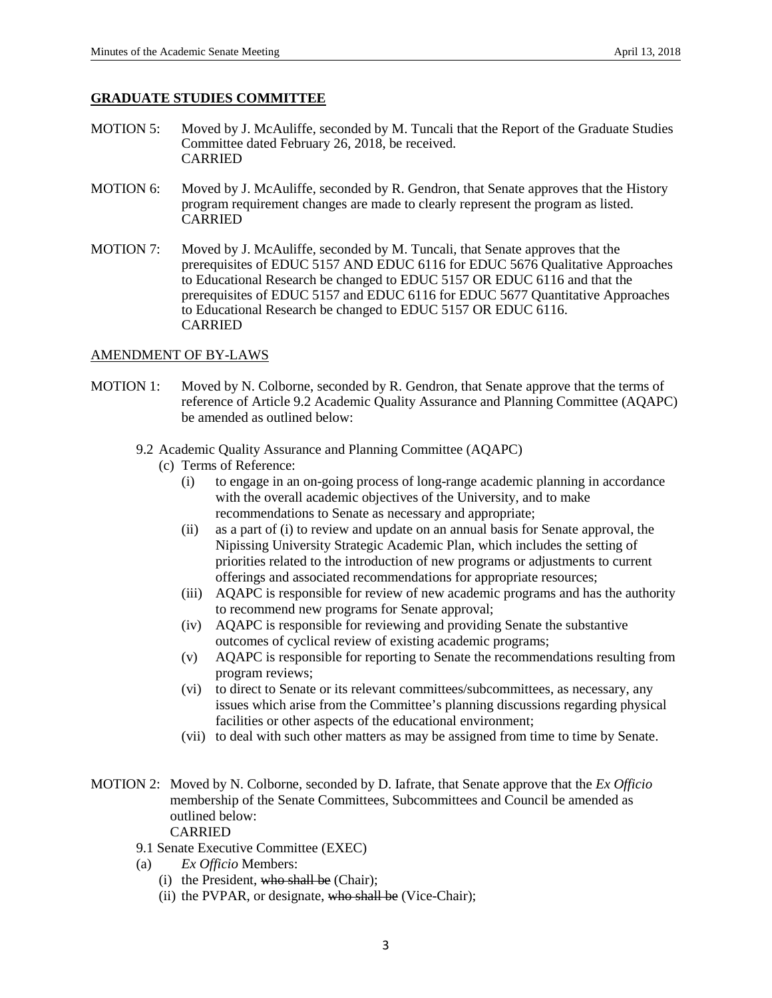## **GRADUATE STUDIES COMMITTEE**

- MOTION 5: Moved by J. McAuliffe, seconded by M. Tuncali that the Report of the Graduate Studies Committee dated February 26, 2018, be received. CARRIED
- MOTION 6: Moved by J. McAuliffe, seconded by R. Gendron, that Senate approves that the History program requirement changes are made to clearly represent the program as listed. CARRIED
- MOTION 7: Moved by J. McAuliffe, seconded by M. Tuncali, that Senate approves that the prerequisites of EDUC 5157 AND EDUC 6116 for EDUC 5676 Qualitative Approaches to Educational Research be changed to EDUC 5157 OR EDUC 6116 and that the prerequisites of EDUC 5157 and EDUC 6116 for EDUC 5677 Quantitative Approaches to Educational Research be changed to EDUC 5157 OR EDUC 6116. CARRIED

## AMENDMENT OF BY-LAWS

- MOTION 1: Moved by N. Colborne, seconded by R. Gendron, that Senate approve that the terms of reference of Article 9.2 Academic Quality Assurance and Planning Committee (AQAPC) be amended as outlined below:
	- 9.2 Academic Quality Assurance and Planning Committee (AQAPC)
		- (c) Terms of Reference:
			- (i) to engage in an on-going process of long-range academic planning in accordance with the overall academic objectives of the University, and to make recommendations to Senate as necessary and appropriate;
			- (ii) as a part of (i) to review and update on an annual basis for Senate approval, the Nipissing University Strategic Academic Plan, which includes the setting of priorities related to the introduction of new programs or adjustments to current offerings and associated recommendations for appropriate resources;
			- (iii) AQAPC is responsible for review of new academic programs and has the authority to recommend new programs for Senate approval;
			- (iv) AQAPC is responsible for reviewing and providing Senate the substantive outcomes of cyclical review of existing academic programs;
			- (v) AQAPC is responsible for reporting to Senate the recommendations resulting from program reviews;
			- (vi) to direct to Senate or its relevant committees/subcommittees, as necessary, any issues which arise from the Committee's planning discussions regarding physical facilities or other aspects of the educational environment;
			- (vii) to deal with such other matters as may be assigned from time to time by Senate.
- MOTION 2: Moved by N. Colborne, seconded by D. Iafrate, that Senate approve that the *Ex Officio* membership of the Senate Committees, Subcommittees and Council be amended as outlined below: CARRIED
	- 9.1 Senate Executive Committee (EXEC)
	- (a) *Ex Officio* Members:
		- (i) the President, who shall be (Chair);
		- (ii) the PVPAR, or designate, who shall be (Vice-Chair);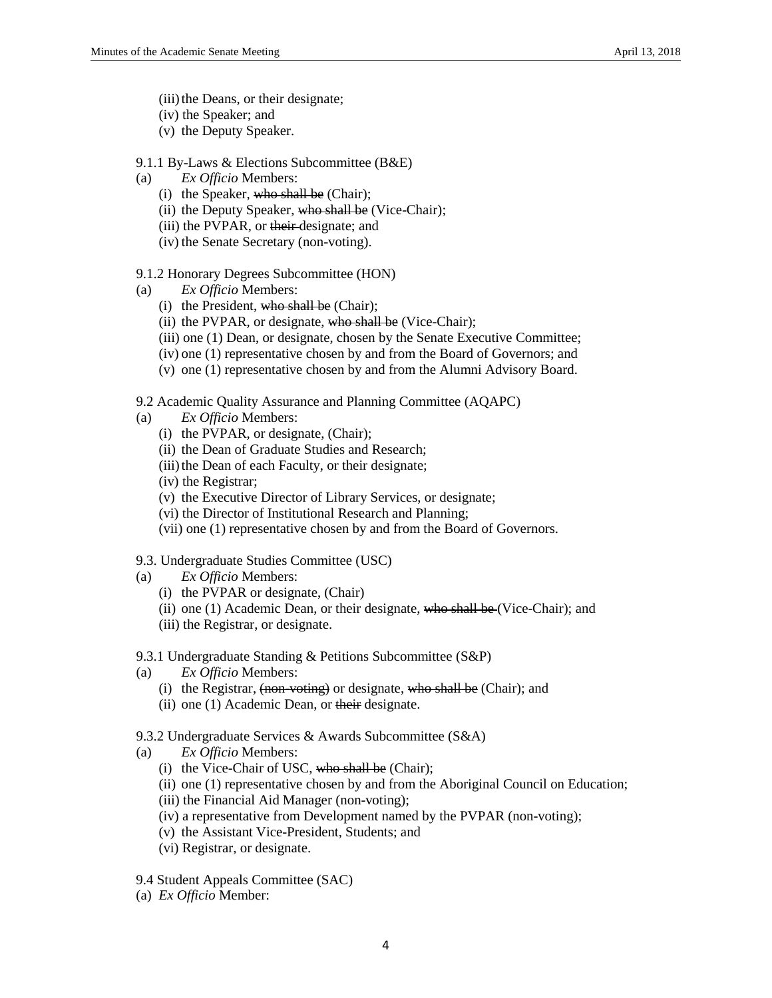- (iii) the Deans, or their designate;
- (iv) the Speaker; and
- (v) the Deputy Speaker.
- 9.1.1 By-Laws & Elections Subcommittee (B&E)
- (a) *Ex Officio* Members:
	- (i) the Speaker, who shall be (Chair);
	- (ii) the Deputy Speaker, who shall be (Vice-Chair);
	- (iii) the PVPAR, or their designate; and
	- (iv) the Senate Secretary (non-voting).
- 9.1.2 Honorary Degrees Subcommittee (HON)
- (a) *Ex Officio* Members:
	- (i) the President, who shall be (Chair);
	- (ii) the PVPAR, or designate, who shall be (Vice-Chair);
	- (iii) one (1) Dean, or designate, chosen by the Senate Executive Committee;
	- (iv) one (1) representative chosen by and from the Board of Governors; and
	- (v) one (1) representative chosen by and from the Alumni Advisory Board.
- 9.2 Academic Quality Assurance and Planning Committee (AQAPC)
- (a) *Ex Officio* Members:
	- (i) the PVPAR, or designate, (Chair);
	- (ii) the Dean of Graduate Studies and Research;
	- (iii) the Dean of each Faculty, or their designate;
	- (iv) the Registrar;
	- (v) the Executive Director of Library Services, or designate;
	- (vi) the Director of Institutional Research and Planning;
	- (vii) one (1) representative chosen by and from the Board of Governors.

#### 9.3. Undergraduate Studies Committee (USC)

- (a) *Ex Officio* Members:
	- (i) the PVPAR or designate, (Chair)
	- (ii) one (1) Academic Dean, or their designate, who shall be (Vice-Chair); and
	- (iii) the Registrar, or designate.
- 9.3.1 Undergraduate Standing & Petitions Subcommittee (S&P)
- (a) *Ex Officio* Members:
	- (i) the Registrar,  $\frac{1}{2}$  (non-voting) or designate, who shall be (Chair); and
	- (ii) one (1) Academic Dean, or their designate.
- 9.3.2 Undergraduate Services & Awards Subcommittee (S&A)
- (a) *Ex Officio* Members:
	- (i) the Vice-Chair of USC, who shall be (Chair);
	- (ii) one (1) representative chosen by and from the Aboriginal Council on Education;
	- (iii) the Financial Aid Manager (non-voting);
	- (iv) a representative from Development named by the PVPAR (non-voting);
	- (v) the Assistant Vice-President, Students; and
	- (vi) Registrar, or designate.
- 9.4 Student Appeals Committee (SAC)
- (a) *Ex Officio* Member: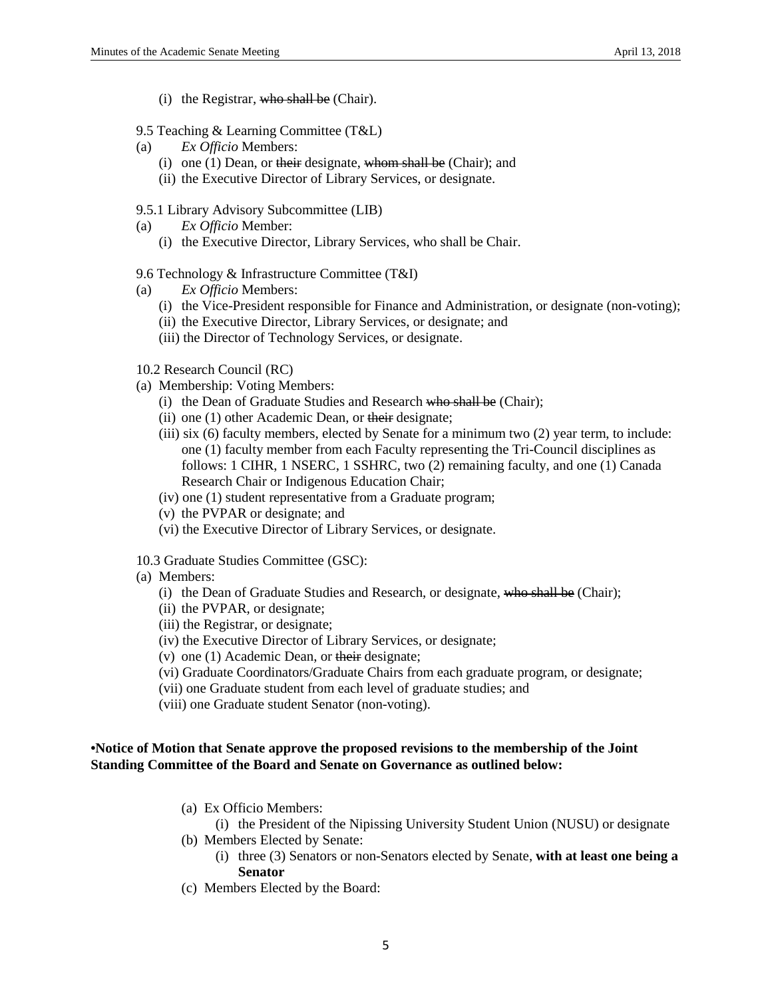- (i) the Registrar, who shall be (Chair).
- 9.5 Teaching & Learning Committee (T&L)
- (a) *Ex Officio* Members:
	- (i) one (1) Dean, or their designate, whom shall be (Chair); and
	- (ii) the Executive Director of Library Services, or designate.
- 9.5.1 Library Advisory Subcommittee (LIB)
- (a) *Ex Officio* Member:
	- (i) the Executive Director, Library Services, who shall be Chair.
- 9.6 Technology & Infrastructure Committee (T&I)
- (a) *Ex Officio* Members:
	- (i) the Vice-President responsible for Finance and Administration, or designate (non-voting);
	- (ii) the Executive Director, Library Services, or designate; and
	- (iii) the Director of Technology Services, or designate.

#### 10.2 Research Council (RC)

- (a) Membership: Voting Members:
	- (i) the Dean of Graduate Studies and Research who shall be (Chair);
	- (ii) one (1) other Academic Dean, or their designate;
	- (iii) six (6) faculty members, elected by Senate for a minimum two (2) year term, to include: one (1) faculty member from each Faculty representing the Tri-Council disciplines as follows: 1 CIHR, 1 NSERC, 1 SSHRC, two (2) remaining faculty, and one (1) Canada Research Chair or Indigenous Education Chair;
	- (iv) one (1) student representative from a Graduate program;
	- (v) the PVPAR or designate; and
	- (vi) the Executive Director of Library Services, or designate.
- 10.3 Graduate Studies Committee (GSC):
- (a) Members:
	- (i) the Dean of Graduate Studies and Research, or designate, who shall be (Chair);
	- (ii) the PVPAR, or designate;
	- (iii) the Registrar, or designate;
	- (iv) the Executive Director of Library Services, or designate;
	- (v) one (1) Academic Dean, or their designate;
	- (vi) Graduate Coordinators/Graduate Chairs from each graduate program, or designate;
	- (vii) one Graduate student from each level of graduate studies; and
	- (viii) one Graduate student Senator (non-voting).

# **•Notice of Motion that Senate approve the proposed revisions to the membership of the Joint Standing Committee of the Board and Senate on Governance as outlined below:**

- (a) Ex Officio Members:
	- (i) the President of the Nipissing University Student Union (NUSU) or designate
- (b) Members Elected by Senate:
	- (i) three (3) Senators or non-Senators elected by Senate, **with at least one being a Senator**
- (c) Members Elected by the Board: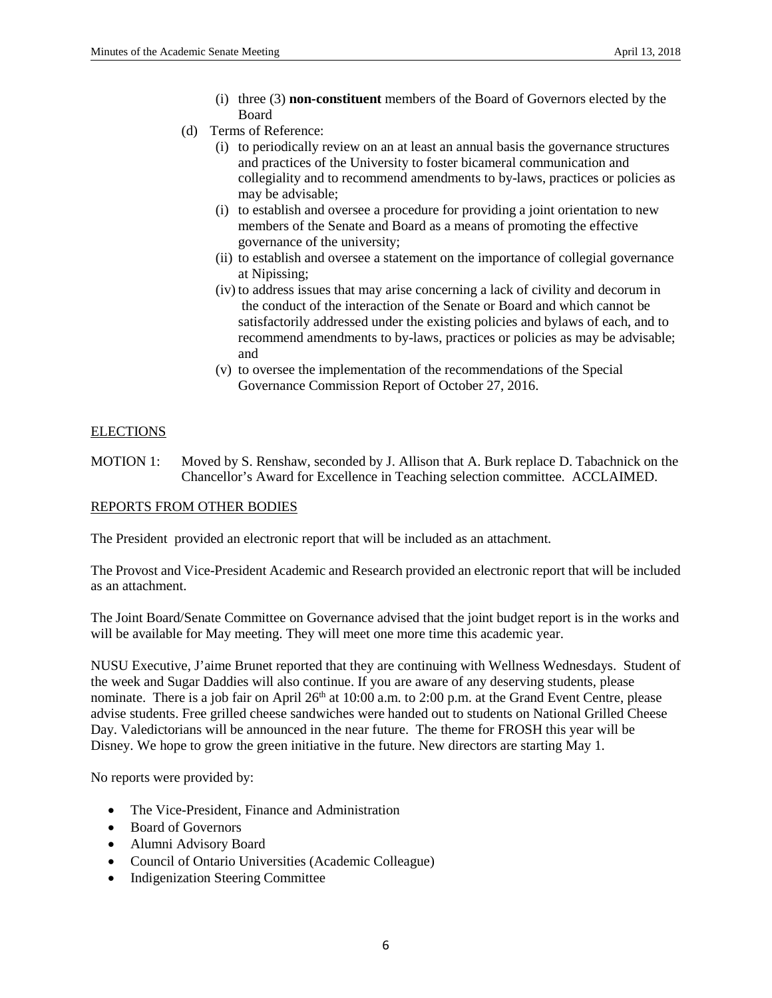- (i) three (3) **non-constituent** members of the Board of Governors elected by the Board
- (d) Terms of Reference:
	- (i) to periodically review on an at least an annual basis the governance structures and practices of the University to foster bicameral communication and collegiality and to recommend amendments to by-laws, practices or policies as may be advisable;
	- (i) to establish and oversee a procedure for providing a joint orientation to new members of the Senate and Board as a means of promoting the effective governance of the university;
	- (ii) to establish and oversee a statement on the importance of collegial governance at Nipissing;
	- (iv) to address issues that may arise concerning a lack of civility and decorum in the conduct of the interaction of the Senate or Board and which cannot be satisfactorily addressed under the existing policies and bylaws of each, and to recommend amendments to by-laws, practices or policies as may be advisable; and
	- (v) to oversee the implementation of the recommendations of the Special Governance Commission Report of October 27, 2016.

# **ELECTIONS**

MOTION 1: Moved by S. Renshaw, seconded by J. Allison that A. Burk replace D. Tabachnick on the Chancellor's Award for Excellence in Teaching selection committee. ACCLAIMED.

#### REPORTS FROM OTHER BODIES

The President provided an electronic report that will be included as an attachment.

The Provost and Vice-President Academic and Research provided an electronic report that will be included as an attachment.

The Joint Board/Senate Committee on Governance advised that the joint budget report is in the works and will be available for May meeting. They will meet one more time this academic year.

NUSU Executive, J'aime Brunet reported that they are continuing with Wellness Wednesdays. Student of the week and Sugar Daddies will also continue. If you are aware of any deserving students, please nominate. There is a job fair on April 26<sup>th</sup> at 10:00 a.m. to 2:00 p.m. at the Grand Event Centre, please advise students. Free grilled cheese sandwiches were handed out to students on National Grilled Cheese Day. Valedictorians will be announced in the near future. The theme for FROSH this year will be Disney. We hope to grow the green initiative in the future. New directors are starting May 1.

No reports were provided by:

- The Vice-President, Finance and Administration
- Board of Governors
- Alumni Advisory Board
- Council of Ontario Universities (Academic Colleague)
- Indigenization Steering Committee